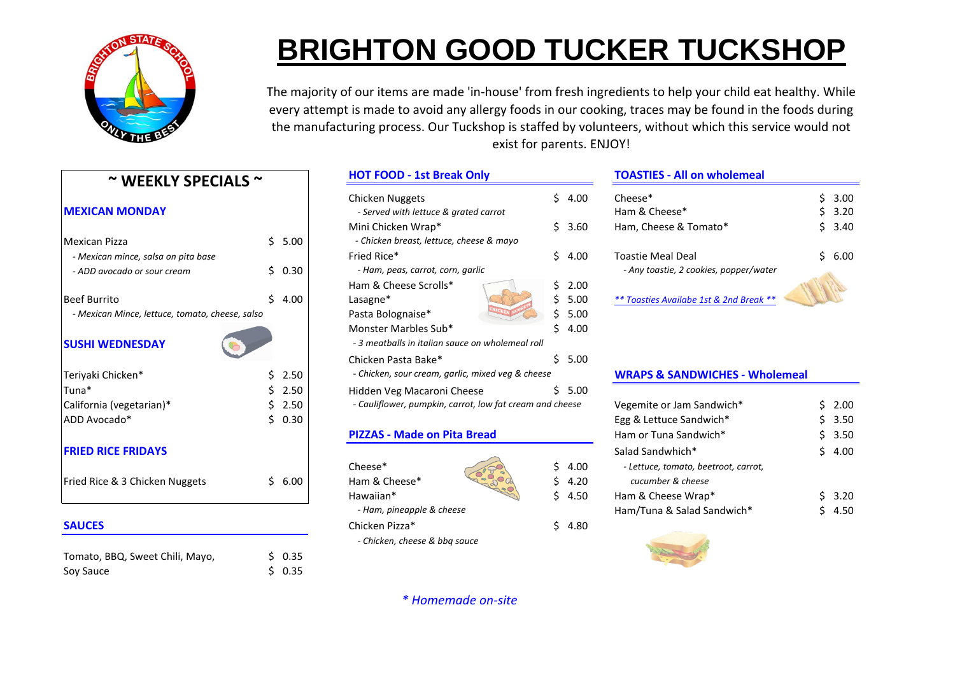

# **BRIGHTON GOOD TUCKER TUCKSHOP**

The majority of our items are made 'in-house' from fresh ingredients to help your child eat healthy. While every attempt is made to avoid any allergy foods in our cooking, traces may be found in the foods during the manufacturing process. Our Tuckshop is staffed by volunteers, without which this service would not exist for parents. ENJOY!

| $\sim$ WEEKLY SPECIALS $\sim$                   |            | <b>HOT FOOD - 1st Break Only</b>                                                      |                          | <b>TOASTIES - All on</b>                        |
|-------------------------------------------------|------------|---------------------------------------------------------------------------------------|--------------------------|-------------------------------------------------|
| <b>MEXICAN MONDAY</b>                           |            | <b>Chicken Nuggets</b><br>- Served with lettuce & grated carrot<br>Mini Chicken Wrap* | Ś.<br>4.00<br>Ś.<br>3.60 | $Cheese*$<br>Ham & Cheese*<br>Ham, Cheese & Tom |
| <b>Mexican Pizza</b>                            | Ś.<br>5.00 | - Chicken breast, lettuce, cheese & mayo                                              |                          |                                                 |
| - Mexican mince, salsa on pita base             |            | Fried Rice*                                                                           | Ś.<br>4.00               | <b>Toastie Meal Deal</b>                        |
| - ADD avocado or sour cream                     | 0.30<br>Ś. | - Ham, peas, carrot, corn, garlic                                                     |                          | - Any toastie, 2 cooki                          |
|                                                 |            | Ham & Cheese Scrolls*                                                                 | 2.00<br>Ś                |                                                 |
| <b>Beef Burrito</b>                             | Ś.<br>4.00 | Lasagne*                                                                              | 5.00                     | ** Toasties Availabe 1s                         |
| - Mexican Mince, lettuce, tomato, cheese, salso |            | Pasta Bolognaise*                                                                     | 5.00                     |                                                 |
| <b>SUSHI WEDNESDAY</b>                          |            | Monster Marbles Sub*<br>- 3 meatballs in italian sauce on wholemeal roll              | Ś.<br>4.00               |                                                 |
|                                                 |            | Chicken Pasta Bake*                                                                   | Ś.<br>5.00               |                                                 |
| Teriyaki Chicken*                               | 2.50       | - Chicken, sour cream, garlic, mixed veg & cheese                                     |                          | <b>WRAPS &amp; SANDW</b>                        |
| Tuna*                                           | 2.50       | Hidden Veg Macaroni Cheese                                                            | Ś.<br>5.00               |                                                 |
| California (vegetarian)*                        | 2.50       | - Cauliflower, pumpkin, carrot, low fat cream and cheese                              |                          | Vegemite or Jam Sar                             |
| ADD Avocado*                                    | 0.30<br>Ś. |                                                                                       |                          | Egg & Lettuce Sandw                             |
|                                                 |            | <b>PIZZAS - Made on Pita Bread</b>                                                    |                          | Ham or Tuna Sandwi                              |
| <b>FRIED RICE FRIDAYS</b>                       |            |                                                                                       |                          | Salad Sandwhich*                                |
|                                                 |            | Cheese*                                                                               | Ś.<br>4.00               | - Lettuce, tomato, be                           |
| Fried Rice & 3 Chicken Nuggets                  | Ś.<br>6.00 | Ham & Cheese*                                                                         | 4.20                     | cucumber & cheese                               |
|                                                 |            | Hawaiian*                                                                             | 4.50                     | Ham & Cheese Wrap                               |
|                                                 |            | - Ham, pineapple & cheese                                                             |                          | Ham/Tuna & Salad S                              |
| <b>SAUCES</b>                                   |            | Chicken Pizza*                                                                        | Ś.<br>4.80               |                                                 |
| Tomato, BBQ, Sweet Chili, Mayo,                 | Ś.<br>0.35 | - Chicken, cheese & bbg sauce                                                         |                          |                                                 |

Soy Sauce \$ 0.35

| $\sim$ WEEKLY SPECIALS $\sim$                   |  | <b>HOT FOOD - 1st Break Only</b> |                                                                          |  | <b>TOASTIES - All on wholemeal</b> |                                           |  |              |
|-------------------------------------------------|--|----------------------------------|--------------------------------------------------------------------------|--|------------------------------------|-------------------------------------------|--|--------------|
| <b>MEXICAN MONDAY</b>                           |  |                                  | Chicken Nuggets<br>- Served with lettuce & grated carrot                 |  | \$4.00                             | Cheese <sup>*</sup><br>Ham & Cheese*      |  | 3.00<br>3.20 |
| Mexican Pizza                                   |  | \$5.00                           | Mini Chicken Wrap*<br>- Chicken breast, lettuce, cheese & mayo           |  | \$3.60                             | Ham, Cheese & Tomato*                     |  | \$ 3.40      |
| - Mexican mince, salsa on pita base             |  |                                  | Fried Rice*                                                              |  | \$4.00                             | <b>Toastie Meal Deal</b>                  |  | \$6.00       |
| - ADD avocado or sour cream                     |  | \$0.30                           | - Ham, peas, carrot, corn, garlic                                        |  |                                    | - Any toastie, 2 cookies, popper/water    |  |              |
|                                                 |  |                                  | Ham & Cheese Scrolls*                                                    |  | \$2.00                             |                                           |  |              |
| <b>Beef Burrito</b>                             |  | 4.00                             | Lasagne*                                                                 |  | 5.00                               | ** Toasties Availabe 1st & 2nd Break **   |  |              |
| - Mexican Mince, lettuce, tomato, cheese, salso |  |                                  | Pasta Bolognaise*                                                        |  | \$5.00                             |                                           |  |              |
| <b>SUSHI WEDNESDAY</b>                          |  |                                  | Monster Marbles Sub*<br>- 3 meatballs in italian sauce on wholemeal roll |  | 54.00                              |                                           |  |              |
|                                                 |  |                                  | Chicken Pasta Bake*                                                      |  | \$5.00                             |                                           |  |              |
| Teriyaki Chicken*                               |  | 2.50                             | - Chicken, sour cream, garlic, mixed veg & cheese                        |  |                                    | <b>WRAPS &amp; SANDWICHES - Wholemeal</b> |  |              |
| Tuna*                                           |  | 2.50                             | Hidden Veg Macaroni Cheese                                               |  | \$5.00                             |                                           |  |              |
| California (vegetarian)*                        |  | 2.50                             | - Cauliflower, pumpkin, carrot, low fat cream and cheese                 |  |                                    | Vegemite or Jam Sandwich*                 |  | \$2.00       |
| ADD Avocado*                                    |  | 0.30                             |                                                                          |  |                                    | Egg & Lettuce Sandwich*                   |  | \$ 3.50      |
|                                                 |  |                                  |                                                                          |  |                                    |                                           |  |              |

### **PIZZAS - Made on Pita Bread**

### *\* Homemade on-site*

| <b>MEXICAN MONDAY</b>               |      | Chicken Nuggets<br>- Served with lettuce & grated carrot | 4.00   | Cheese <sup>*</sup><br>Ham & Cheese*   | 3.00<br>\$ 3.20 |
|-------------------------------------|------|----------------------------------------------------------|--------|----------------------------------------|-----------------|
|                                     |      | Mini Chicken Wrap*                                       | \$3.60 | Ham, Cheese & Tomato*                  | 3.40            |
| Mexican Pizza                       | 5.00 | - Chicken breast, lettuce, cheese & mayo                 |        |                                        |                 |
| - Mexican mince, salsa on pita base |      | Fried Rice*                                              | \$4.00 | <b>Toastie Meal Deal</b>               | \$ 6.00         |
| - ADD avocado or sour cream         | 0.30 | - Ham, peas, carrot, corn, garlic                        |        | - Any toastie, 2 cookies, popper/water |                 |
|                                     |      |                                                          |        |                                        |                 |

### **WRAPS & SANDWICHES - Wholemeal**

| California (vegetarian)*       |  | 2.50    |                                    | - Cauliflower, pumpkin, carrot, low fat cream and cheese |               | Vegemite or Jam Sandwich*            | \$2.00 |
|--------------------------------|--|---------|------------------------------------|----------------------------------------------------------|---------------|--------------------------------------|--------|
| ADD Avocado*                   |  | 0.30    |                                    |                                                          |               | Egg & Lettuce Sandwich*              | \$3.50 |
|                                |  |         | <b>PIZZAS - Made on Pita Bread</b> |                                                          |               | Ham or Tuna Sandwich*                | \$3.50 |
| <b>FRIED RICE FRIDAYS</b>      |  |         |                                    |                                                          |               | Salad Sandwhich*                     | \$4.00 |
|                                |  |         | Cheese*                            |                                                          | \$4.00        | - Lettuce, tomato, beetroot, carrot, |        |
| Fried Rice & 3 Chicken Nuggets |  | \$ 6.00 | Ham & Cheese*                      | Capec                                                    | $5\quad 4.20$ | cucumber & cheese                    |        |
|                                |  |         | Hawaiian*                          |                                                          | 4.50          | Ham & Cheese Wrap*                   | \$3.20 |
|                                |  |         | - Ham, pineapple & cheese          |                                                          |               | Ham/Tuna & Salad Sandwich*           | ነ 4.50 |